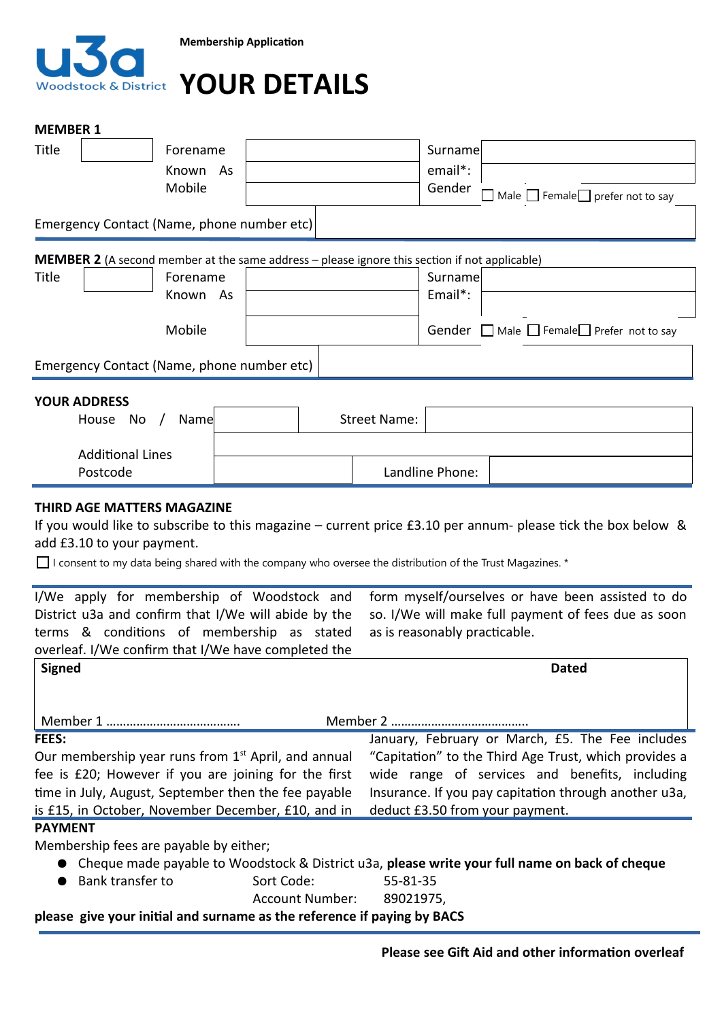

# **YOUR DETAILS**

| <b>MEMBER 1</b>                                                                                                                                           |                                                                                                             |                        |  |                     |                                                                                          |                                                   |  |
|-----------------------------------------------------------------------------------------------------------------------------------------------------------|-------------------------------------------------------------------------------------------------------------|------------------------|--|---------------------|------------------------------------------------------------------------------------------|---------------------------------------------------|--|
| Title                                                                                                                                                     | Forename                                                                                                    |                        |  |                     | Surname                                                                                  |                                                   |  |
|                                                                                                                                                           | Known<br><b>As</b>                                                                                          |                        |  |                     | email*:                                                                                  |                                                   |  |
|                                                                                                                                                           | Mobile                                                                                                      |                        |  |                     | Gender                                                                                   | Male $\Box$ Female $\Box$ prefer not to say       |  |
| Emergency Contact (Name, phone number etc)                                                                                                                |                                                                                                             |                        |  |                     |                                                                                          |                                                   |  |
|                                                                                                                                                           |                                                                                                             |                        |  |                     |                                                                                          |                                                   |  |
| <b>MEMBER 2</b> (A second member at the same address – please ignore this section if not applicable)                                                      |                                                                                                             |                        |  |                     |                                                                                          |                                                   |  |
| Title                                                                                                                                                     | Forename                                                                                                    |                        |  |                     | Surname                                                                                  |                                                   |  |
|                                                                                                                                                           | Known As                                                                                                    |                        |  |                     | Email*:                                                                                  |                                                   |  |
|                                                                                                                                                           | Mobile                                                                                                      |                        |  |                     |                                                                                          | Gender ■ Male ■ Female Prefer not to say          |  |
| Emergency Contact (Name, phone number etc)                                                                                                                |                                                                                                             |                        |  |                     |                                                                                          |                                                   |  |
|                                                                                                                                                           |                                                                                                             |                        |  |                     |                                                                                          |                                                   |  |
| <b>YOUR ADDRESS</b><br>House No                                                                                                                           | Name<br>$\sqrt{2}$                                                                                          |                        |  | <b>Street Name:</b> |                                                                                          |                                                   |  |
|                                                                                                                                                           |                                                                                                             |                        |  |                     |                                                                                          |                                                   |  |
| <b>Additional Lines</b>                                                                                                                                   |                                                                                                             |                        |  |                     |                                                                                          |                                                   |  |
| Postcode                                                                                                                                                  |                                                                                                             |                        |  | Landline Phone:     |                                                                                          |                                                   |  |
| add £3.10 to your payment.<br>I/We apply for membership of Woodstock and                                                                                  | □ I consent to my data being shared with the company who oversee the distribution of the Trust Magazines. * |                        |  |                     |                                                                                          | form myself/ourselves or have been assisted to do |  |
| District u3a and confirm that I/We will abide by the<br>terms & conditions of membership as stated<br>overleaf. I/We confirm that I/We have completed the |                                                                                                             |                        |  |                     | so. I/We will make full payment of fees due as soon<br>as is reasonably practicable.     |                                                   |  |
| <b>Signed</b>                                                                                                                                             |                                                                                                             |                        |  |                     |                                                                                          | Dated                                             |  |
|                                                                                                                                                           |                                                                                                             |                        |  |                     |                                                                                          |                                                   |  |
|                                                                                                                                                           |                                                                                                             |                        |  |                     |                                                                                          |                                                   |  |
| FEES:                                                                                                                                                     |                                                                                                             |                        |  |                     |                                                                                          | January, February or March, £5. The Fee includes  |  |
| Our membership year runs from 1 <sup>st</sup> April, and annual                                                                                           |                                                                                                             |                        |  |                     | "Capitation" to the Third Age Trust, which provides a                                    |                                                   |  |
| fee is £20; However if you are joining for the first                                                                                                      |                                                                                                             |                        |  |                     |                                                                                          | wide range of services and benefits, including    |  |
| time in July, August, September then the fee payable<br>is £15, in October, November December, £10, and in                                                |                                                                                                             |                        |  |                     | Insurance. If you pay capitation through another u3a,<br>deduct £3.50 from your payment. |                                                   |  |
| <b>PAYMENT</b>                                                                                                                                            |                                                                                                             |                        |  |                     |                                                                                          |                                                   |  |
| Membership fees are payable by either;                                                                                                                    |                                                                                                             |                        |  |                     |                                                                                          |                                                   |  |
| Cheque made payable to Woodstock & District u3a, please write your full name on back of cheque                                                            |                                                                                                             |                        |  |                     |                                                                                          |                                                   |  |
| Bank transfer to<br>Sort Code:                                                                                                                            |                                                                                                             |                        |  |                     | 55-81-35                                                                                 |                                                   |  |
|                                                                                                                                                           |                                                                                                             | <b>Account Number:</b> |  | 89021975,           |                                                                                          |                                                   |  |
| please give your initial and surname as the reference if paying by BACS                                                                                   |                                                                                                             |                        |  |                     |                                                                                          |                                                   |  |